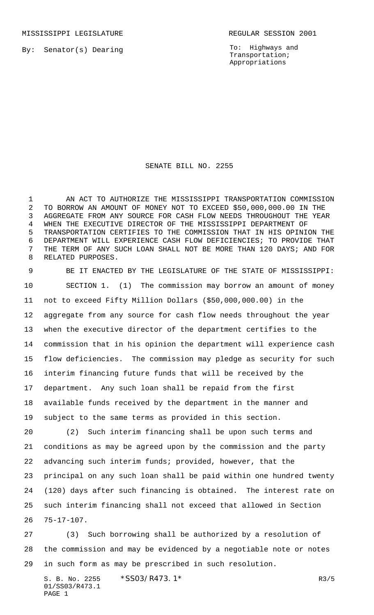MISSISSIPPI LEGISLATURE **REGULAR SESSION 2001** 

By: Senator(s) Dearing

To: Highways and Transportation; Appropriations

## SENATE BILL NO. 2255

 AN ACT TO AUTHORIZE THE MISSISSIPPI TRANSPORTATION COMMISSION TO BORROW AN AMOUNT OF MONEY NOT TO EXCEED \$50,000,000.00 IN THE AGGREGATE FROM ANY SOURCE FOR CASH FLOW NEEDS THROUGHOUT THE YEAR WHEN THE EXECUTIVE DIRECTOR OF THE MISSISSIPPI DEPARTMENT OF TRANSPORTATION CERTIFIES TO THE COMMISSION THAT IN HIS OPINION THE DEPARTMENT WILL EXPERIENCE CASH FLOW DEFICIENCIES; TO PROVIDE THAT THE TERM OF ANY SUCH LOAN SHALL NOT BE MORE THAN 120 DAYS; AND FOR RELATED PURPOSES.

 BE IT ENACTED BY THE LEGISLATURE OF THE STATE OF MISSISSIPPI: SECTION 1. (1) The commission may borrow an amount of money not to exceed Fifty Million Dollars (\$50,000,000.00) in the aggregate from any source for cash flow needs throughout the year when the executive director of the department certifies to the commission that in his opinion the department will experience cash flow deficiencies. The commission may pledge as security for such interim financing future funds that will be received by the department. Any such loan shall be repaid from the first available funds received by the department in the manner and subject to the same terms as provided in this section. (2) Such interim financing shall be upon such terms and

 conditions as may be agreed upon by the commission and the party advancing such interim funds; provided, however, that the principal on any such loan shall be paid within one hundred twenty (120) days after such financing is obtained. The interest rate on such interim financing shall not exceed that allowed in Section 75-17-107.

 (3) Such borrowing shall be authorized by a resolution of the commission and may be evidenced by a negotiable note or notes in such form as may be prescribed in such resolution.

S. B. No. 2255 \* SSO3/R473.1\* The contract of the contract of the contract of the contract of the contract of the contract of the contract of the contract of the contract of the contract of the contract of the contract of 01/SS03/R473.1 PAGE 1